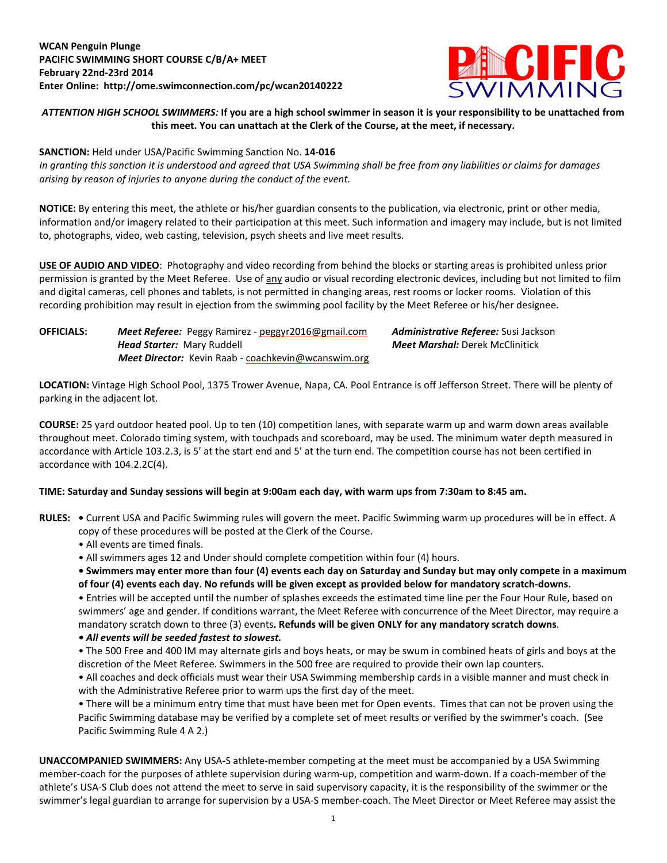

## ATTENTION HIGH SCHOOL SWIMMERS: If you are a high school swimmer in season it is your responsibility to be unattached from **this meet. You can unattach at the Clerk of the Course, at the meet, if necessary.**

### **SANCTION:** Held under USA/Pacific Swimming Sanction No. **14-016**

In granting this sanction it is understood and agreed that USA Swimming shall be free from any liabilities or claims for damages *arising by reason of injuries to anyone during the conduct of the event.*

**NOTICE:** By entering this meet, the athlete or his/her guardian consents to the publication, via electronic, print or other media, information and/or imagery related to their participation at this meet. Such information and imagery may include, but is not limited to, photographs, video, web casting, television, psych sheets and live meet results.

**USE OF AUDIO AND VIDEO**: Photography and video recording from behind the blocks or starting areas is prohibited unless prior permission is granted by the Meet Referee. Use of any audio or visual recording electronic devices, including but not limited to film and digital cameras, cell phones and tablets, is not permitted in changing areas, rest rooms or locker rooms. Violation of this recording prohibition may result in ejection from the swimming pool facility by the Meet Referee or his/her designee.

# **OFFICIALS:** *Meet Referee:* Peggy Ramirez - [peggyr2016@gmail.com](mailto:peggyr2016@gmail.com) *Administrative Referee:* Susi Jackson *Head Starter:* Mary Ruddell *Meet Marshal:* Derek McClinitick*Meet Director:* Kevin Raab - [coachkevin@wcanswim.org](mailto:coachkevin@wcanswim.org)

**LOCATION:** Vintage High School Pool, 1375 Trower Avenue, Napa, CA. Pool Entrance is off Jefferson Street. There will be plenty of parking in the adjacent lot.

**COURSE:** 25 yard outdoor heated pool. Up to ten (10) competition lanes, with separate warm up and warm down areas available throughout meet. Colorado timing system, with touchpads and scoreboard, may be used. The minimum water depth measured in accordance with Article 103.2.3, is 5' at the start end and 5' at the turn end. The competition course has not been certified in accordance with 104.2.2C(4).

### TIME: Saturday and Sunday sessions will begin at 9:00am each day, with warm ups from 7:30am to 8:45 am.

- **RULES: •** Current USA and Pacific Swimming rules will govern the meet. Pacific Swimming warm up procedures will be in effect. A copy of these procedures will be posted at the Clerk of the Course.
	- All events are timed finals.
	- All swimmers ages 12 and Under should complete competition within four (4) hours.

• Swimmers may enter more than four (4) events each day on Saturday and Sunday but may only compete in a maximum of four (4) events each day. No refunds will be given except as provided below for mandatory scratch-downs.

• Entries will be accepted until the number of splashes exceeds the estimated time line per the Four Hour Rule, based on swimmers' age and gender. If conditions warrant, the Meet Referee with concurrence of the Meet Director, may require a mandatory scratch down to three (3) events**. Refunds will be given ONLY for any mandatory scratch downs**.

### *• All events will be seeded fastest to slowest.*

• The 500 Free and 400 IM may alternate girls and boys heats, or may be swum in combined heats of girls and boys at the discretion of the Meet Referee. Swimmers in the 500 free are required to provide their own lap counters.

• All coaches and deck officials must wear their USA Swimming membership cards in a visible manner and must check in with the Administrative Referee prior to warm ups the first day of the meet.

• There will be a minimum entry time that must have been met for Open events. Times that can not be proven using the Pacific Swimming database may be verified by a complete set of meet results or verified by the swimmer's coach. (See Pacific Swimming Rule 4 A 2.)

**UNACCOMPANIED SWIMMERS:** Any USA-S athlete-member competing at the meet must be accompanied by a USA Swimming member-coach for the purposes of athlete supervision during warm-up, competition and warm-down. If a coach-member of the athlete's USA-S Club does not attend the meet to serve in said supervisory capacity, it is the responsibility of the swimmer or the swimmer's legal guardian to arrange for supervision by a USA-S member-coach. The Meet Director or Meet Referee may assist the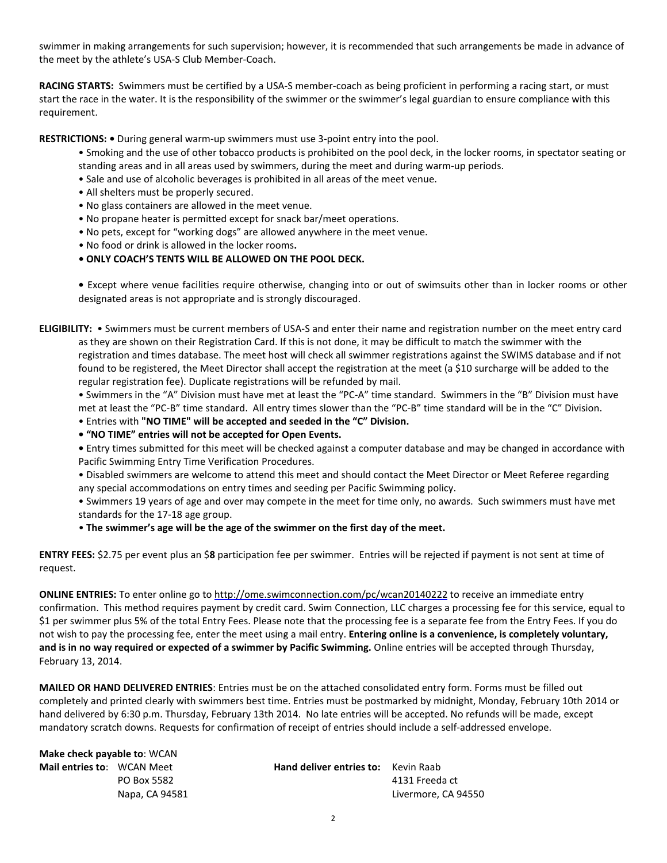swimmer in making arrangements for such supervision; however, it is recommended that such arrangements be made in advance of the meet by the athlete's USA-S Club Member-Coach.

**RACING STARTS:** Swimmers must be certified by a USA-S member-coach as being proficient in performing a racing start, or must start the race in the water. It is the responsibility of the swimmer or the swimmer's legal guardian to ensure compliance with this requirement.

**RESTRICTIONS: •** During general warm-up swimmers must use 3-point entry into the pool.

- Smoking and the use of other tobacco products is prohibited on the pool deck, in the locker rooms, in spectator seating or standing areas and in all areas used by swimmers, during the meet and during warm-up periods.
- Sale and use of alcoholic beverages is prohibited in all areas of the meet venue.
- All shelters must be properly secured.
- No glass containers are allowed in the meet venue.
- No propane heater is permitted except for snack bar/meet operations.
- No pets, except for "working dogs" are allowed anywhere in the meet venue.
- No food or drink is allowed in the locker rooms**.**
- **• ONLY COACH'S TENTS WILL BE ALLOWED ON THE POOL DECK.**

**•** Except where venue facilities require otherwise, changing into or out of swimsuits other than in locker rooms or other designated areas is not appropriate and is strongly discouraged.

**ELIGIBILITY:** • Swimmers must be current members of USA-S and enter their name and registration number on the meet entry card as they are shown on their Registration Card. If this is not done, it may be difficult to match the swimmer with the registration and times database. The meet host will check all swimmer registrations against the SWIMS database and if not found to be registered, the Meet Director shall accept the registration at the meet (a \$10 surcharge will be added to the regular registration fee). Duplicate registrations will be refunded by mail.

• Swimmers in the "A" Division must have met at least the "PC-A" time standard. Swimmers in the "B" Division must have met at least the "PC-B" time standard. All entry times slower than the "PC-B" time standard will be in the "C" Division.

• Entries with **"NO TIME" will be accepted and seeded in the "C" Division.**

**• "NO TIME" entries will not be accepted for Open Events.** 

**•** Entry times submitted for this meet will be checked against a computer database and may be changed in accordance with Pacific Swimming Entry Time Verification Procedures.

• Disabled swimmers are welcome to attend this meet and should contact the Meet Director or Meet Referee regarding any special accommodations on entry times and seeding per Pacific Swimming policy.

• Swimmers 19 years of age and over may compete in the meet for time only, no awards. Such swimmers must have met standards for the 17-18 age group.

• **The swimmer's age will be the age of the swimmer on the first day of the meet.**

**ENTRY FEES:** \$2.75 per event plus an \$**8** participation fee per swimmer. Entries will be rejected if payment is not sent at time of request.

**ONLINE ENTRIES:** To enter online go to <http://ome.swimconnection.com/pc/wcan20140222> to receive an immediate entry confirmation. This method requires payment by credit card. Swim Connection, LLC charges a processing fee for this service, equal to \$1 per swimmer plus 5% of the total Entry Fees. Please note that the processing fee is a separate fee from the Entry Fees. If you do not wish to pay the processing fee, enter the meet using a mail entry. **Entering online is a convenience, is completely voluntary, and is in no way required or expected of a swimmer by Pacific Swimming.** Online entries will be accepted through Thursday, February 13, 2014.

**MAILED OR HAND DELIVERED ENTRIES**: Entries must be on the attached consolidated entry form. Forms must be filled out completely and printed clearly with swimmers best time. Entries must be postmarked by midnight, Monday, February 10th 2014 or hand delivered by 6:30 p.m. Thursday, February 13th 2014. No late entries will be accepted. No refunds will be made, except mandatory scratch downs. Requests for confirmation of receipt of entries should include a self-addressed envelope.

| Make check payable to: WCAN       |                |                                            |                     |
|-----------------------------------|----------------|--------------------------------------------|---------------------|
| <b>Mail entries to:</b> WCAN Meet |                | <b>Hand deliver entries to:</b> Kevin Raab |                     |
|                                   | PO Box 5582    |                                            | 4131 Freeda ct      |
|                                   | Napa, CA 94581 |                                            | Livermore, CA 94550 |
|                                   |                |                                            |                     |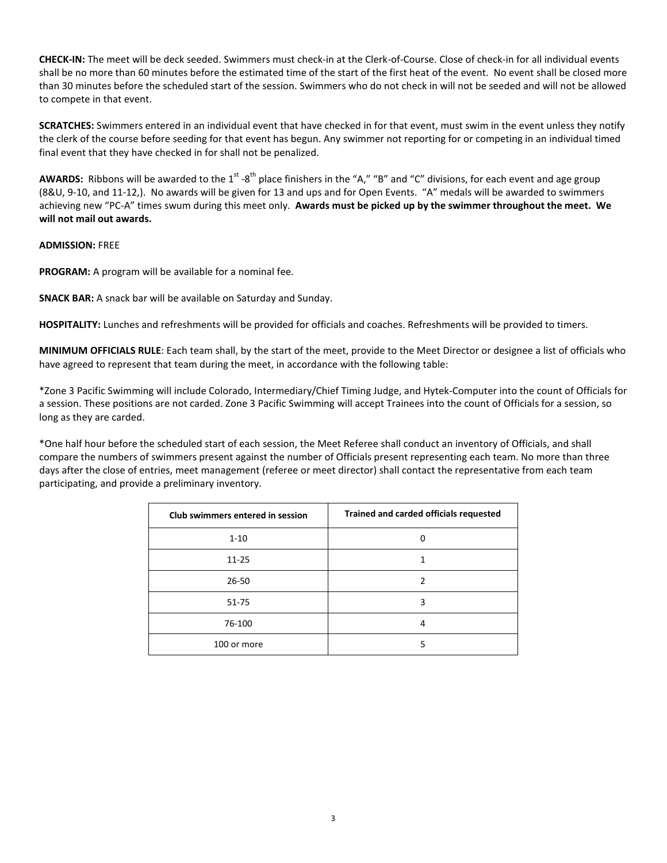**CHECK-IN:** The meet will be deck seeded. Swimmers must check-in at the Clerk-of-Course. Close of check-in for all individual events shall be no more than 60 minutes before the estimated time of the start of the first heat of the event. No event shall be closed more than 30 minutes before the scheduled start of the session. Swimmers who do not check in will not be seeded and will not be allowed to compete in that event.

**SCRATCHES:** Swimmers entered in an individual event that have checked in for that event, must swim in the event unless they notify the clerk of the course before seeding for that event has begun. Any swimmer not reporting for or competing in an individual timed final event that they have checked in for shall not be penalized.

AWARDS: Ribbons will be awarded to the 1<sup>st</sup> -8<sup>th</sup> place finishers in the "A," "B" and "C" divisions, for each event and age group (8&U, 9-10, and 11-12,). No awards will be given for 13 and ups and for Open Events. "A" medals will be awarded to swimmers achieving new "PC-A" times swum during this meet only. **Awards must be picked up by the swimmer throughout the meet. We will not mail out awards.**

#### **ADMISSION:** FREE

**PROGRAM:** A program will be available for a nominal fee.

**SNACK BAR:** A snack bar will be available on Saturday and Sunday.

**HOSPITALITY:** Lunches and refreshments will be provided for officials and coaches. Refreshments will be provided to timers.

**MINIMUM OFFICIALS RULE**: Each team shall, by the start of the meet, provide to the Meet Director or designee a list of officials who have agreed to represent that team during the meet, in accordance with the following table:

\*Zone 3 Pacific Swimming will include Colorado, Intermediary/Chief Timing Judge, and Hytek-Computer into the count of Officials for a session. These positions are not carded. Zone 3 Pacific Swimming will accept Trainees into the count of Officials for a session, so long as they are carded.

\*One half hour before the scheduled start of each session, the Meet Referee shall conduct an inventory of Officials, and shall compare the numbers of swimmers present against the number of Officials present representing each team. No more than three days after the close of entries, meet management (referee or meet director) shall contact the representative from each team participating, and provide a preliminary inventory.

| Club swimmers entered in session | <b>Trained and carded officials requested</b> |  |  |  |  |  |
|----------------------------------|-----------------------------------------------|--|--|--|--|--|
| $1 - 10$                         | n                                             |  |  |  |  |  |
| $11 - 25$                        |                                               |  |  |  |  |  |
| $26 - 50$                        | 2                                             |  |  |  |  |  |
| $51 - 75$                        | 3                                             |  |  |  |  |  |
| 76-100                           | 4                                             |  |  |  |  |  |
| 100 or more                      | 5                                             |  |  |  |  |  |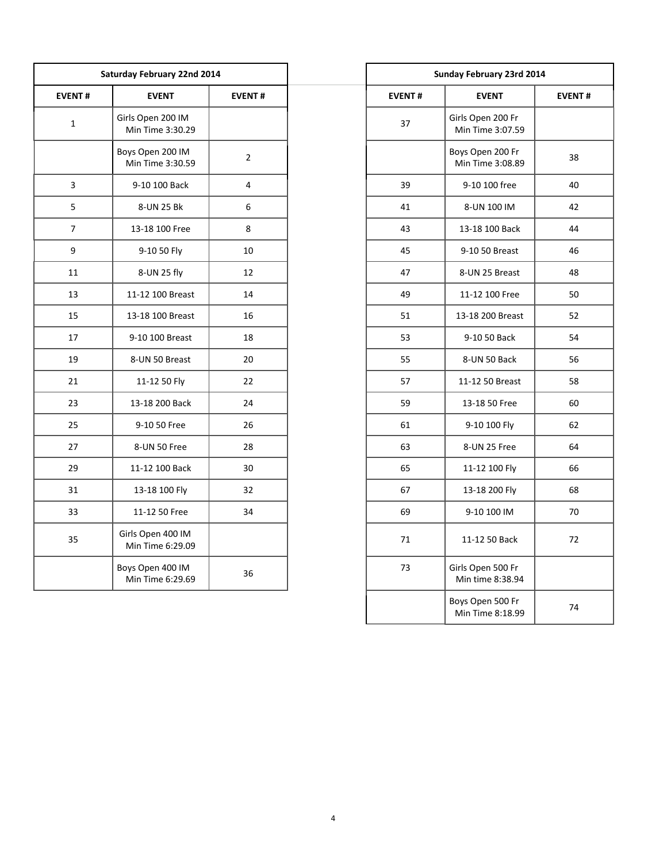|               | Saturday February 22nd 2014           |                  |               | Sunday February 23rd 2014             |
|---------------|---------------------------------------|------------------|---------------|---------------------------------------|
| <b>EVENT#</b> | <b>EVENT</b>                          | <b>EVENT#</b>    | <b>EVENT#</b> | <b>EVENT</b>                          |
|               | Girls Open 200 IM<br>Min Time 3:30.29 |                  | 37            | Girls Open 200 Fr<br>Min Time 3:07.59 |
|               | Boys Open 200 IM<br>Min Time 3:30.59  | $\overline{2}$   |               | Boys Open 200 Fr<br>Min Time 3:08.89  |
|               | 9-10 100 Back                         | $\overline{4}$   | 39            | 9-10 100 free                         |
|               | 8-UN 25 Bk                            | $\boldsymbol{6}$ | 41            | 8-UN 100 IM                           |
|               | 13-18 100 Free                        | 8                | 43            | 13-18 100 Back                        |
|               | 9-10 50 Fly                           | 10               | 45            | 9-10 50 Breast                        |
|               | 8-UN 25 fly                           | 12               | 47            | 8-UN 25 Breast                        |
|               | 11-12 100 Breast                      | 14               | 49            | 11-12 100 Free                        |
|               | 13-18 100 Breast                      | 16               | 51            | 13-18 200 Breast                      |
| 17            | 9-10 100 Breast                       | 18               | 53            | 9-10 50 Back                          |
| 19            | 8-UN 50 Breast                        | 20               | 55            | 8-UN 50 Back                          |
| 21            | 11-12 50 Fly                          | 22               | 57            | 11-12 50 Breast                       |
| 23            | 13-18 200 Back                        | 24               | 59            | 13-18 50 Free                         |
| 25            | 9-10 50 Free                          | 26               | 61            | 9-10 100 Fly                          |
| 27            | 8-UN 50 Free                          | 28               | 63            | 8-UN 25 Free                          |
| 29            | 11-12 100 Back                        | 30               | 65            | 11-12 100 Fly                         |
| 31            | 13-18 100 Fly                         | 32               | 67            | 13-18 200 Fly                         |
| 33            | 11-12 50 Free                         | 34               | 69            | 9-10 100 IM                           |
| 35            | Girls Open 400 IM<br>Min Time 6:29.09 |                  | 71            | 11-12 50 Back                         |
|               | Boys Open 400 IM<br>Min Time 6:29.69  | 36               | 73            | Girls Open 500 Fr<br>Min time 8:38.94 |
|               |                                       |                  |               |                                       |

| lay February 22nd 2014               |                | Sunday February 23rd 2014 |                                       |               |  |  |  |
|--------------------------------------|----------------|---------------------------|---------------------------------------|---------------|--|--|--|
| <b>EVENT</b>                         | <b>EVENT#</b>  | <b>EVENT#</b>             | <b>EVENT</b>                          | <b>EVENT#</b> |  |  |  |
| rls Open 200 IM<br>Min Time 3:30.29  |                | 37                        | Girls Open 200 Fr<br>Min Time 3:07.59 |               |  |  |  |
| ys Open 200 IM<br>Min Time 3:30.59   | $\overline{2}$ |                           | Boys Open 200 Fr<br>Min Time 3:08.89  | 38            |  |  |  |
| 9-10 100 Back                        | 4              | 39                        | 9-10 100 free                         | 40            |  |  |  |
| 8-UN 25 Bk                           | 6              | 41                        | 8-UN 100 IM                           | 42            |  |  |  |
| 13-18 100 Free                       | 8              | 43                        | 13-18 100 Back                        | 44            |  |  |  |
| 9-10 50 Fly                          | 10             | 45                        | 9-10 50 Breast                        | 46            |  |  |  |
| 8-UN 25 fly                          | 12             | 47                        | 8-UN 25 Breast                        | 48            |  |  |  |
| 11-12 100 Breast                     | 14             | 49                        | 11-12 100 Free                        | 50            |  |  |  |
| 13-18 100 Breast                     | 16             | 51                        | 13-18 200 Breast                      | 52            |  |  |  |
| 9-10 100 Breast                      | 18             | 53                        | 9-10 50 Back                          | 54            |  |  |  |
| 8-UN 50 Breast                       | 20             | 55                        | 8-UN 50 Back                          | 56            |  |  |  |
| 11-12 50 Fly                         | 22             | 57                        | 11-12 50 Breast                       | 58            |  |  |  |
| 13-18 200 Back                       | 24             | 59                        | 13-18 50 Free                         | 60            |  |  |  |
| 9-10 50 Free                         | 26             | 61                        | 9-10 100 Fly                          | 62            |  |  |  |
| 8-UN 50 Free                         | 28             | 63                        | 8-UN 25 Free                          | 64            |  |  |  |
| 11-12 100 Back                       | 30             | 65                        | 11-12 100 Fly                         | 66            |  |  |  |
| 13-18 100 Fly                        | 32             | 67                        | 13-18 200 Fly                         | 68            |  |  |  |
| 11-12 50 Free                        | 34             | 69                        | 9-10 100 IM                           | 70            |  |  |  |
| irls Open 400 IM<br>Min Time 6:29.09 |                | 71                        | 11-12 50 Back                         | 72            |  |  |  |
| ys Open 400 IM<br>Min Time 6:29.69   | 36             | 73                        | Girls Open 500 Fr<br>Min time 8:38.94 |               |  |  |  |
|                                      |                |                           | Boys Open 500 Fr<br>Min Time 8:18.99  | 74            |  |  |  |